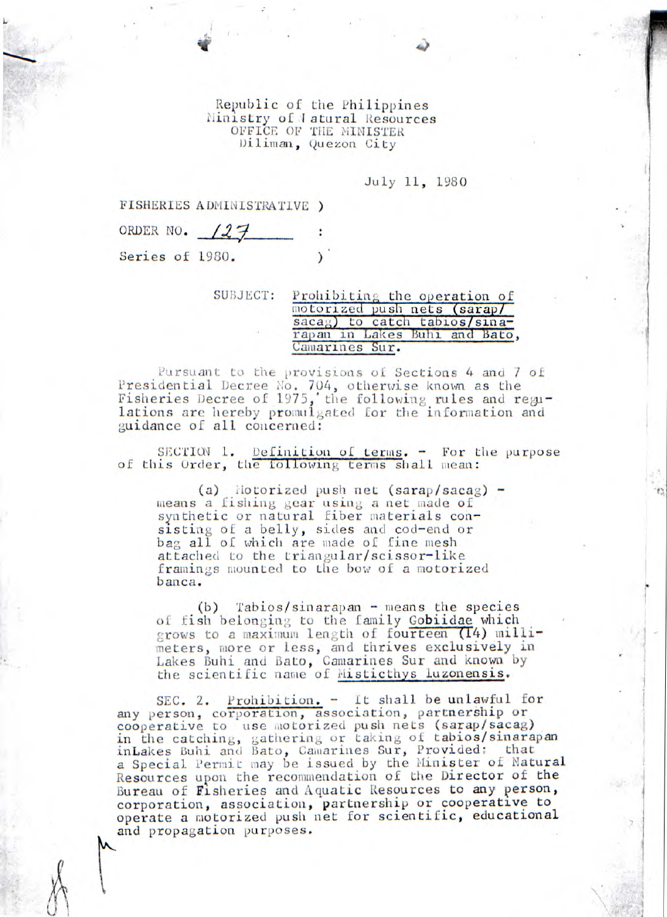Republic of the Philippines Ministry of Jatural Resources OFFICE OF THE MINISTER Diliman, Quezon City

July 11, 1980

FISHERIES ADMINISTRATIVE *)* 

|                 | ORDER NO. 127 |  |
|-----------------|---------------|--|
| Series of 1980. |               |  |

**SUBJECT:** Prohibiting the operation of motorized push nets *(sarapl*  sacag) to catch tabios/sinarapan in Lakes Buhi and Bato, Camarines Sur.

Pursuant to the provisions of Sections 4 and 7 of Presidential Decree No. 704, otherwise known as the Fisheries Decree of 1975, the following rules and regulations are hereby promulgated for the information and guidance of all concerned:

*SECrIUl 1. Definition of* terms. - For the purpose of this Order, the tollowing terms shall mean:

(a) liotorized push net (sarap/sacag) means *a fishing* gear using a net made of synthetic or natural fiber materials consisting of a belly, sides and cod-end or bag all of which are made of fine mesh attached to the triangular/scissor-like framings mounted to the bow of a motorized banca.

(b) Tabios/sinarapan - means the species of fish belonging to the family Gobiidae which grows to a maximum length of fourteen (14) millimeters, more or less, and thrives exclusively in Lakes Buhi and Bato, Camarines Sur and known by the scientific name of Misticthys luzonensis.

SEC. 2. Prohibition. - It shall be unlawful for any person, corporation, association, partnership or cooperative to use motorized push nets (sarap/sacag) in the catching, gathering or taking of tabios/sinarapan inLakes Buhi and Bato, Camarines Sur, Provided: that a Special Permit may be issued by the Minister of Natural Resources upon the recommendation of the Director of the Bureau of fisheries and Aquatic Resources to any person, corporation, association, partnership or cooperative to operate a motorized push net for scientific, educational and propagation purposes.